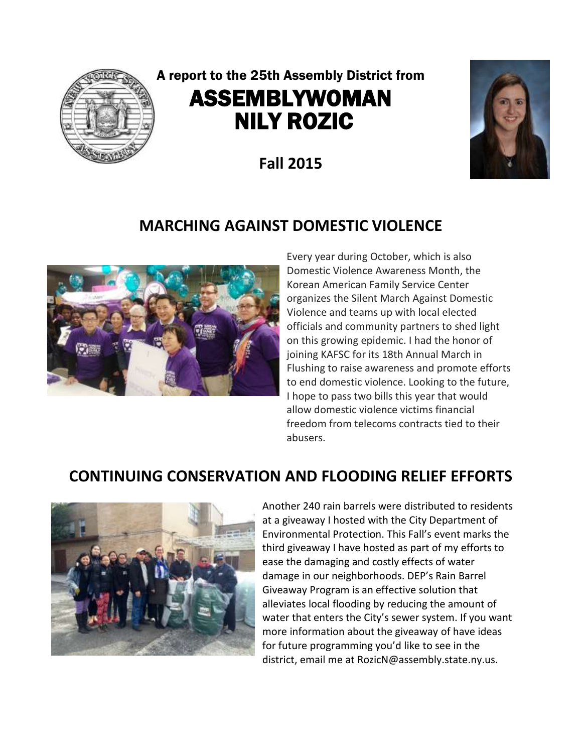

# A report to the 25th Assembly District from ASSEMBLYWOMAN NILY ROZIC

**Fall 2015**



## **MARCHING AGAINST DOMESTIC VIOLENCE**



 Every year during October, which is also Domestic Violence Awareness Month, the Korean American Family Service Center organizes the Silent March Against Domestic Violence and teams up with local elected officials and community partners to shed light on this growing epidemic. I had the honor of joining KAFSC for its 18th Annual March in Flushing to raise awareness and promote efforts to end domestic violence. Looking to the future, I hope to pass two bills this year that would allow domestic violence victims financial freedom from telecoms contracts tied to their abusers.

## **CONTINUING CONSERVATION AND FLOODING RELIEF EFFORTS**



Another 240 rain barrels were distributed to residents at a giveaway I hosted with the City Department of Environmental Protection. This Fall's event marks the third giveaway I have hosted as part of my efforts to ease the damaging and costly effects of water damage in our neighborhoods. DEP's Rain Barrel Giveaway Program is an effective solution that alleviates local flooding by reducing the amount of water that enters the City's sewer system. If you want more information about the giveaway of have ideas for future programming you'd like to see in the district, email me at RozicN@assembly.state.ny.us.